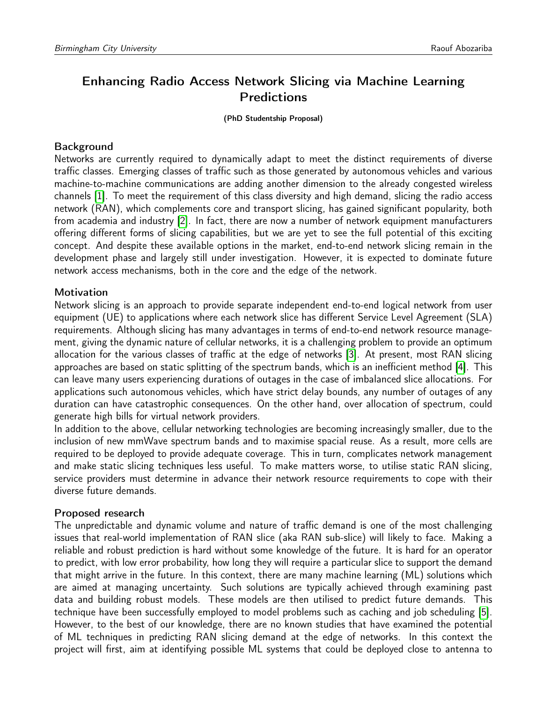# Enhancing Radio Access Network Slicing via Machine Learning Predictions

(PhD Studentship Proposal)

## Background

Networks are currently required to dynamically adapt to meet the distinct requirements of diverse traffic classes. Emerging classes of traffic such as those generated by autonomous vehicles and various machine-to-machine communications are adding another dimension to the already congested wireless channels [\[1\]](#page-1-0). To meet the requirement of this class diversity and high demand, slicing the radio access network (RAN), which complements core and transport slicing, has gained significant popularity, both from academia and industry [\[2\]](#page-1-1). In fact, there are now a number of network equipment manufacturers offering different forms of slicing capabilities, but we are yet to see the full potential of this exciting concept. And despite these available options in the market, end-to-end network slicing remain in the development phase and largely still under investigation. However, it is expected to dominate future network access mechanisms, both in the core and the edge of the network.

## Motivation

Network slicing is an approach to provide separate independent end-to-end logical network from user equipment (UE) to applications where each network slice has different Service Level Agreement (SLA) requirements. Although slicing has many advantages in terms of end-to-end network resource management, giving the dynamic nature of cellular networks, it is a challenging problem to provide an optimum allocation for the various classes of traffic at the edge of networks [\[3\]](#page-1-2). At present, most RAN slicing approaches are based on static splitting of the spectrum bands, which is an inefficient method [\[4\]](#page-1-3). This can leave many users experiencing durations of outages in the case of imbalanced slice allocations. For applications such autonomous vehicles, which have strict delay bounds, any number of outages of any duration can have catastrophic consequences. On the other hand, over allocation of spectrum, could generate high bills for virtual network providers.

In addition to the above, cellular networking technologies are becoming increasingly smaller, due to the inclusion of new mmWave spectrum bands and to maximise spacial reuse. As a result, more cells are required to be deployed to provide adequate coverage. This in turn, complicates network management and make static slicing techniques less useful. To make matters worse, to utilise static RAN slicing, service providers must determine in advance their network resource requirements to cope with their diverse future demands.

#### Proposed research

The unpredictable and dynamic volume and nature of traffic demand is one of the most challenging issues that real-world implementation of RAN slice (aka RAN sub-slice) will likely to face. Making a reliable and robust prediction is hard without some knowledge of the future. It is hard for an operator to predict, with low error probability, how long they will require a particular slice to support the demand that might arrive in the future. In this context, there are many machine learning (ML) solutions which are aimed at managing uncertainty. Such solutions are typically achieved through examining past data and building robust models. These models are then utilised to predict future demands. This technique have been successfully employed to model problems such as caching and job scheduling [\[5\]](#page-1-4). However, to the best of our knowledge, there are no known studies that have examined the potential of ML techniques in predicting RAN slicing demand at the edge of networks. In this context the project will first, aim at identifying possible ML systems that could be deployed close to antenna to